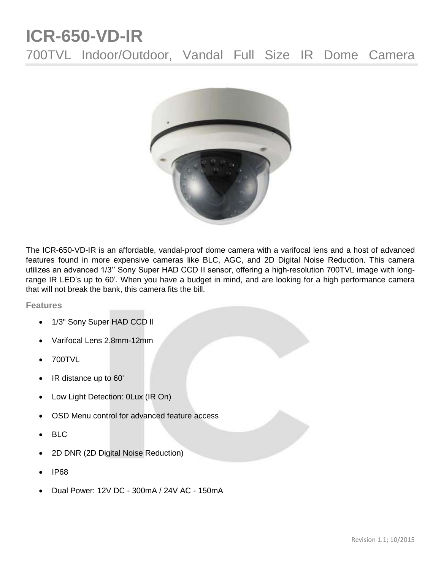## **ICR-650-VD-IR** 700TVL Indoor/Outdoor, Vandal Full Size IR Dome Camera



The ICR-650-VD-IR is an affordable, vandal-proof dome camera with a varifocal lens and a host of advanced features found in more expensive cameras like BLC, AGC, and 2D Digital Noise Reduction. This camera utilizes an advanced 1/3'' Sony Super HAD CCD II sensor, offering a high-resolution 700TVL image with longrange IR LED's up to 60'. When you have a budget in mind, and are looking for a high performance camera that will not break the bank, this camera fits the bill.

**Features**

- 1/3" Sony Super HAD CCD II
- Varifocal Lens 2.8mm-12mm
- 700TVL
- IR distance up to 60'
- Low Light Detection: 0Lux (IR On)
- OSD Menu control for advanced feature access
- BLC
- 2D DNR (2D Digital Noise Reduction)
- IP68
- Dual Power: 12V DC 300mA / 24V AC 150mA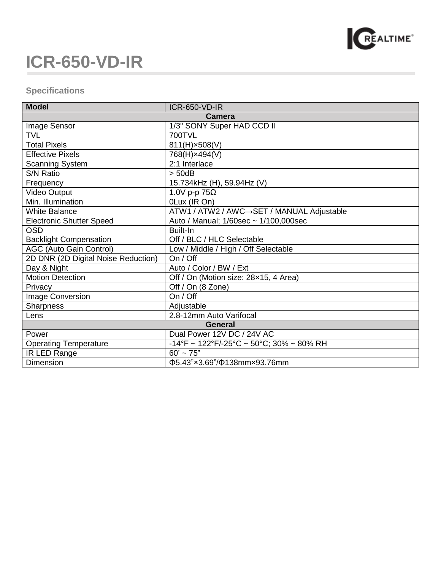

## **ICR-650-VD-IR**

## **Specifications**

| <b>Model</b>                        | <b>ICR-650-VD-IR</b>                                                                |
|-------------------------------------|-------------------------------------------------------------------------------------|
| <b>Camera</b>                       |                                                                                     |
| Image Sensor                        | 1/3" SONY Super HAD CCD II                                                          |
| <b>TVL</b>                          | <b>700TVL</b>                                                                       |
| <b>Total Pixels</b>                 | 811(H)×508(V)                                                                       |
| <b>Effective Pixels</b>             | 768(H)×494(V)                                                                       |
| <b>Scanning System</b>              | 2:1 Interlace                                                                       |
| S/N Ratio                           | $>$ 50dB                                                                            |
| Frequency                           | 15.734kHz (H), 59.94Hz (V)                                                          |
| Video Output                        | 1.0V p-p $75\Omega$                                                                 |
| Min. Illumination                   | 0Lux (IR On)                                                                        |
| <b>White Balance</b>                | ATW1 / ATW2 / AWC→SET / MANUAL Adjustable                                           |
| <b>Electronic Shutter Speed</b>     | Auto / Manual; 1/60sec ~ 1/100,000sec                                               |
| OSD                                 | Built-In                                                                            |
| <b>Backlight Compensation</b>       | Off / BLC / HLC Selectable                                                          |
| <b>AGC (Auto Gain Control)</b>      | Low / Middle / High / Off Selectable                                                |
| 2D DNR (2D Digital Noise Reduction) | On / Off                                                                            |
| Day & Night                         | Auto / Color / BW / Ext                                                             |
| <b>Motion Detection</b>             | Off / On (Motion size: 28x15, 4 Area)                                               |
| Privacy                             | Off / On (8 Zone)                                                                   |
| <b>Image Conversion</b>             | On / Off                                                                            |
| <b>Sharpness</b>                    | Adjustable                                                                          |
| Lens                                | 2.8-12mm Auto Varifocal                                                             |
| General                             |                                                                                     |
| Power                               | Dual Power 12V DC / 24V AC                                                          |
| <b>Operating Temperature</b>        | $-14^{\circ}$ F ~ 122 $^{\circ}$ F/-25 $^{\circ}$ C ~ 50 $^{\circ}$ C; 30% ~ 80% RH |
| IR LED Range                        | $60' \sim 75"$                                                                      |
| <b>Dimension</b>                    | Ф5.43"×3.69"/Ф138mm×93.76mm                                                         |